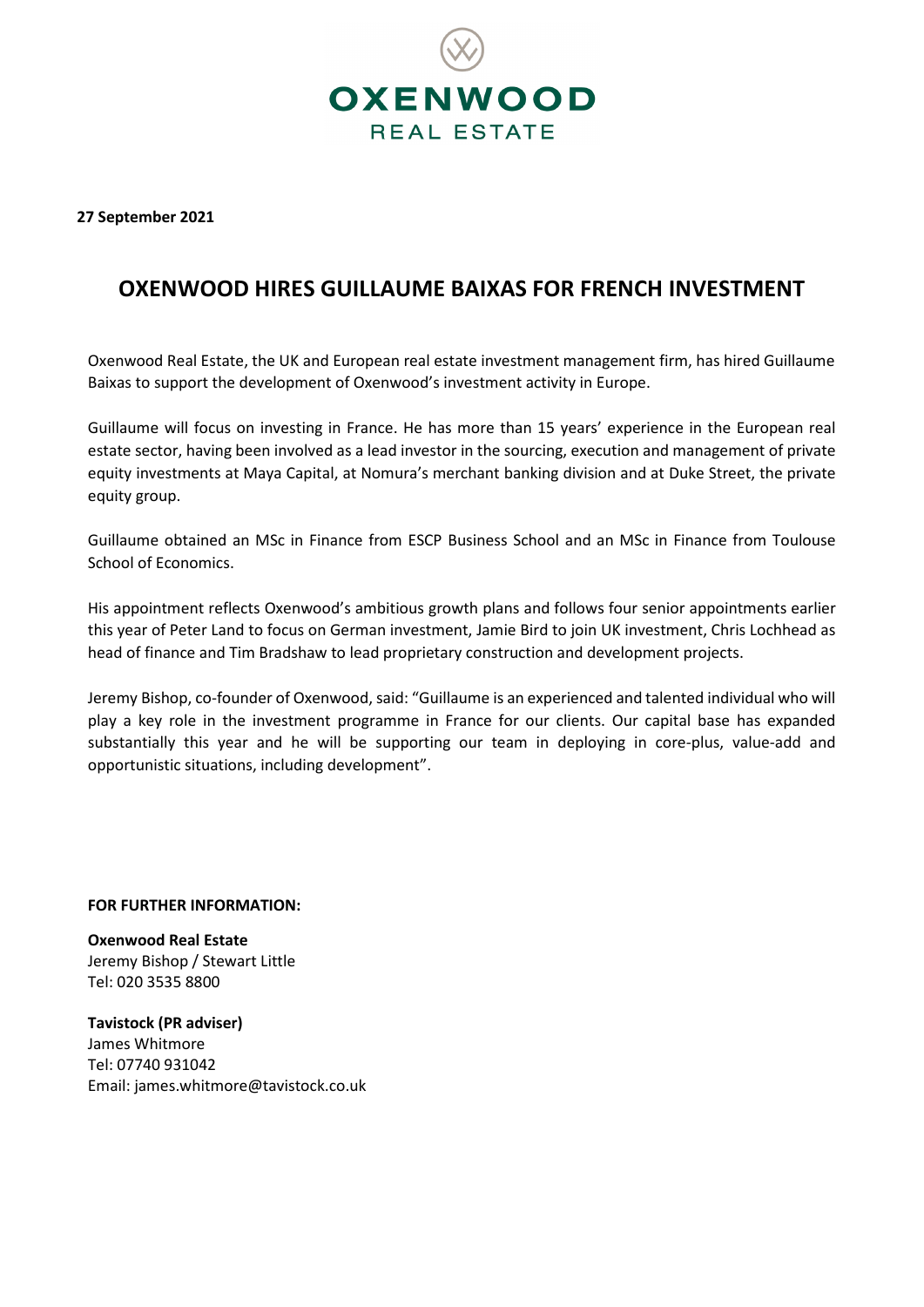

**27 September 2021**

## **OXENWOOD HIRES GUILLAUME BAIXAS FOR FRENCH INVESTMENT**

Oxenwood Real Estate, the UK and European real estate investment management firm, has hired Guillaume Baixas to support the development of Oxenwood's investment activity in Europe.

Guillaume will focus on investing in France. He has more than 15 years' experience in the European real estate sector, having been involved as a lead investor in the sourcing, execution and management of private equity investments at Maya Capital, at Nomura's merchant banking division and at Duke Street, the private equity group.

Guillaume obtained an MSc in Finance from ESCP Business School and an MSc in Finance from Toulouse School of Economics.

His appointment reflects Oxenwood's ambitious growth plans and follows four senior appointments earlier this year of Peter Land to focus on German investment, Jamie Bird to join UK investment, Chris Lochhead as head of finance and Tim Bradshaw to lead proprietary construction and development projects.

Jeremy Bishop, co-founder of Oxenwood, said: "Guillaume is an experienced and talented individual who will play a key role in the investment programme in France for our clients. Our capital base has expanded substantially this year and he will be supporting our team in deploying in core-plus, value-add and opportunistic situations, including development".

## **FOR FURTHER INFORMATION:**

**Oxenwood Real Estate** Jeremy Bishop / Stewart Little Tel: 020 3535 8800

**Tavistock (PR adviser)** James Whitmore Tel: 07740 931042 Email[: james.whitmore@tavistock.co.uk](mailto:james.whitmore@tavistock.co.uk)